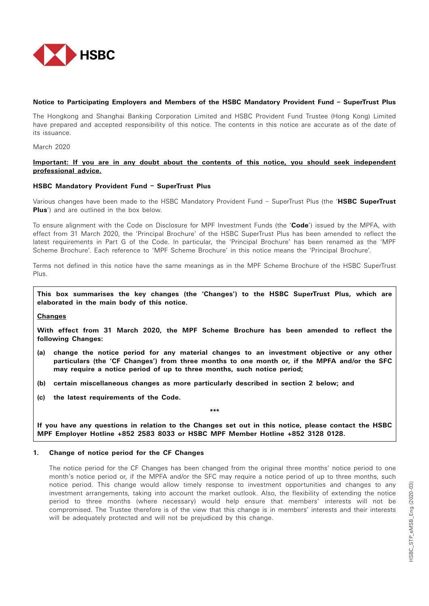

## **Notice to Participating Employers and Members of the HSBC Mandatory Provident Fund – SuperTrust Plus**

The Hongkong and Shanghai Banking Corporation Limited and HSBC Provident Fund Trustee (Hong Kong) Limited have prepared and accepted responsibility of this notice. The contents in this notice are accurate as of the date of its issuance.

March 2020

# **Important: If you are in any doubt about the contents of this notice, you should seek independent professional advice.**

## **HSBC Mandatory Provident Fund – SuperTrust Plus**

Various changes have been made to the HSBC Mandatory Provident Fund – SuperTrust Plus (the '**HSBC SuperTrust Plus**') and are outlined in the box below.

To ensure alignment with the Code on Disclosure for MPF Investment Funds (the '**Code**') issued by the MPFA, with effect from 31 March 2020, the 'Principal Brochure' of the HSBC SuperTrust Plus has been amended to reflect the latest requirements in Part G of the Code. In particular, the 'Principal Brochure' has been renamed as the 'MPF Scheme Brochure'. Each reference to 'MPF Scheme Brochure' in this notice means the 'Principal Brochure'.

Terms not defined in this notice have the same meanings as in the MPF Scheme Brochure of the HSBC SuperTrust Plus.

**This box summarises the key changes (the 'Changes') to the HSBC SuperTrust Plus, which are elaborated in the main body of this notice.**

**Changes**

**With effect from 31 March 2020, the MPF Scheme Brochure has been amended to reflect the following Changes:**

- **(a) change the notice period for any material changes to an investment objective or any other particulars (the 'CF Changes') from three months to one month or, if the MPFA and/or the SFC may require a notice period of up to three months, such notice period;**
- **(b) certain miscellaneous changes as more particularly described in section 2 below; and**
- **(c) the latest requirements of the Code.**

**\*\*\***

**If you have any questions in relation to the Changes set out in this notice, please contact the HSBC MPF Employer Hotline +852 2583 8033 or HSBC MPF Member Hotline +852 3128 0128.**

## **1. Change of notice period for the CF Changes**

 The notice period for the CF Changes has been changed from the original three months' notice period to one month's notice period or, if the MPFA and/or the SFC may require a notice period of up to three months, such notice period. This change would allow timely response to investment opportunities and changes to any investment arrangements, taking into account the market outlook. Also, the flexibility of extending the notice period to three months (where necessary) would help ensure that members' interests will not be compromised. The Trustee therefore is of the view that this change is in members' interests and their interests will be adequately protected and will not be prejudiced by this change.